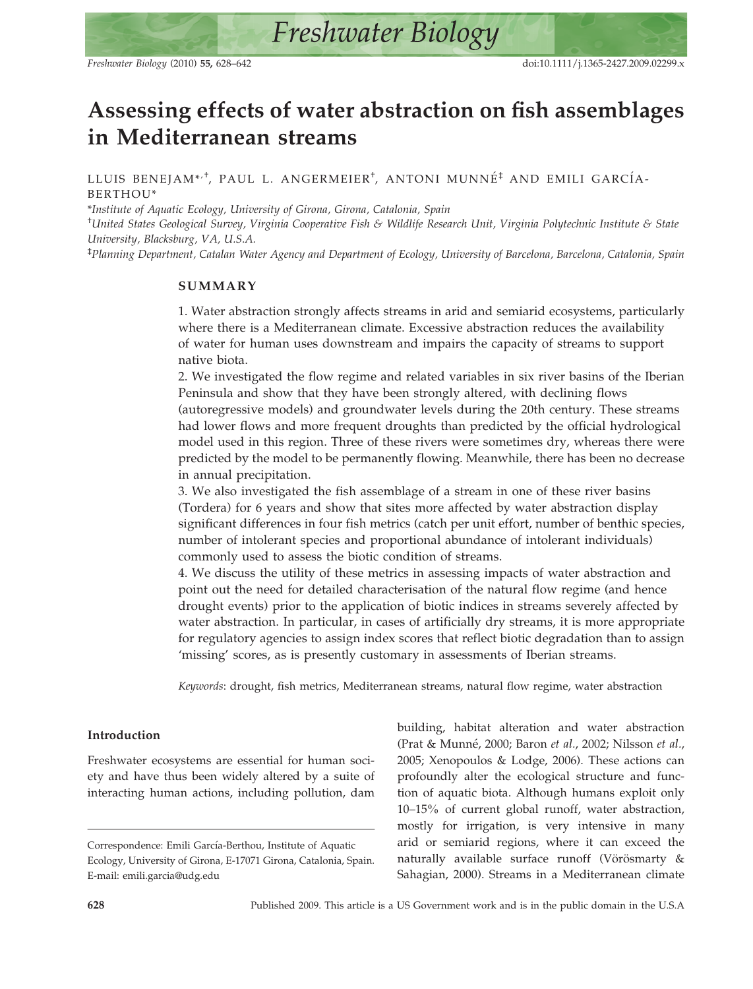# Assessing effects of water abstraction on fish assemblages in Mediterranean streams

LLUIS BENEJAM\*<sup>,†</sup>, PAUL L. ANGERMEIER<sup>†</sup>, ANTONI MUNNÉ<sup>‡</sup> AND EMILI GARCÍA-BERTHOU\*

\*Institute of Aquatic Ecology, University of Girona, Girona, Catalonia, Spain

† United States Geological Survey, Virginia Cooperative Fish & Wildlife Research Unit, Virginia Polytechnic Institute & State University, Blacksburg, VA, U.S.A.

‡ Planning Department, Catalan Water Agency and Department of Ecology, University of Barcelona, Barcelona, Catalonia, Spain

## **SUMMARY**

1. Water abstraction strongly affects streams in arid and semiarid ecosystems, particularly where there is a Mediterranean climate. Excessive abstraction reduces the availability of water for human uses downstream and impairs the capacity of streams to support native biota.

2. We investigated the flow regime and related variables in six river basins of the Iberian Peninsula and show that they have been strongly altered, with declining flows (autoregressive models) and groundwater levels during the 20th century. These streams had lower flows and more frequent droughts than predicted by the official hydrological model used in this region. Three of these rivers were sometimes dry, whereas there were predicted by the model to be permanently flowing. Meanwhile, there has been no decrease in annual precipitation.

3. We also investigated the fish assemblage of a stream in one of these river basins (Tordera) for 6 years and show that sites more affected by water abstraction display significant differences in four fish metrics (catch per unit effort, number of benthic species, number of intolerant species and proportional abundance of intolerant individuals) commonly used to assess the biotic condition of streams.

4. We discuss the utility of these metrics in assessing impacts of water abstraction and point out the need for detailed characterisation of the natural flow regime (and hence drought events) prior to the application of biotic indices in streams severely affected by water abstraction. In particular, in cases of artificially dry streams, it is more appropriate for regulatory agencies to assign index scores that reflect biotic degradation than to assign 'missing' scores, as is presently customary in assessments of Iberian streams.

Keywords: drought, fish metrics, Mediterranean streams, natural flow regime, water abstraction

## Introduction

Freshwater ecosystems are essential for human society and have thus been widely altered by a suite of interacting human actions, including pollution, dam building, habitat alteration and water abstraction (Prat & Munné, 2000; Baron et al., 2002; Nilsson et al., 2005; Xenopoulos & Lodge, 2006). These actions can profoundly alter the ecological structure and function of aquatic biota. Although humans exploit only 10–15% of current global runoff, water abstraction, mostly for irrigation, is very intensive in many arid or semiarid regions, where it can exceed the naturally available surface runoff (Vörösmarty  $\&$ Sahagian, 2000). Streams in a Mediterranean climate

Correspondence: Emili García-Berthou, Institute of Aquatic Ecology, University of Girona, E-17071 Girona, Catalonia, Spain. E-mail: emili.garcia@udg.edu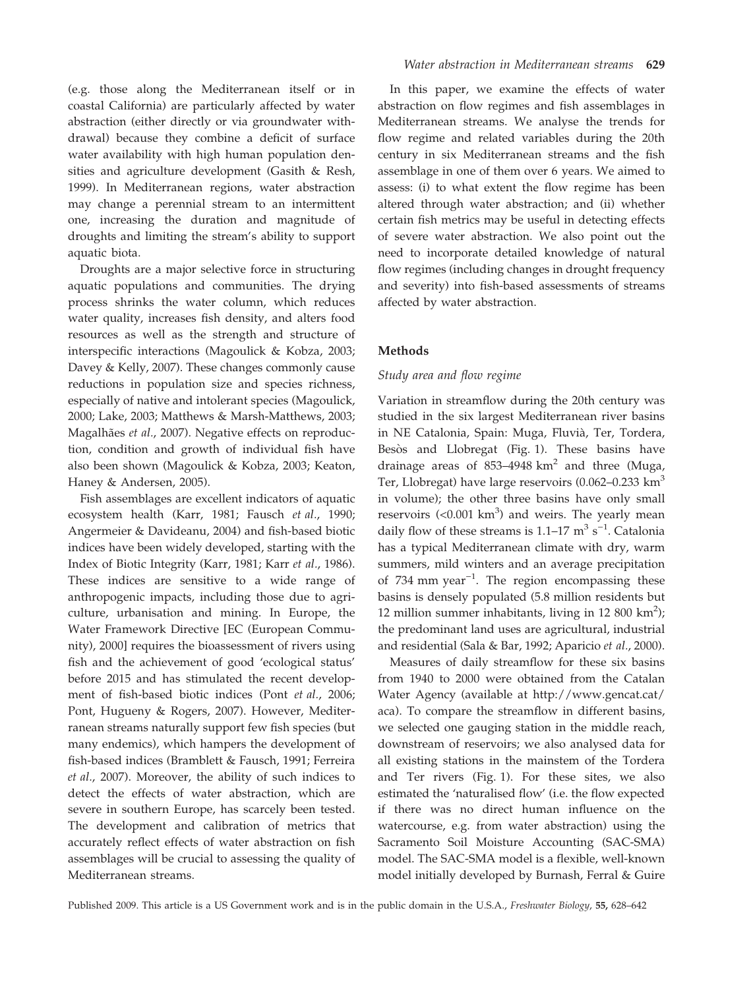(e.g. those along the Mediterranean itself or in coastal California) are particularly affected by water abstraction (either directly or via groundwater withdrawal) because they combine a deficit of surface water availability with high human population densities and agriculture development (Gasith & Resh, 1999). In Mediterranean regions, water abstraction may change a perennial stream to an intermittent one, increasing the duration and magnitude of droughts and limiting the stream's ability to support aquatic biota.

Droughts are a major selective force in structuring aquatic populations and communities. The drying process shrinks the water column, which reduces water quality, increases fish density, and alters food resources as well as the strength and structure of interspecific interactions (Magoulick & Kobza, 2003; Davey & Kelly, 2007). These changes commonly cause reductions in population size and species richness, especially of native and intolerant species (Magoulick, 2000; Lake, 2003; Matthews & Marsh-Matthews, 2003; Magalhães et al., 2007). Negative effects on reproduction, condition and growth of individual fish have also been shown (Magoulick & Kobza, 2003; Keaton, Haney & Andersen, 2005).

Fish assemblages are excellent indicators of aquatic ecosystem health (Karr, 1981; Fausch et al., 1990; Angermeier & Davideanu, 2004) and fish-based biotic indices have been widely developed, starting with the Index of Biotic Integrity (Karr, 1981; Karr et al., 1986). These indices are sensitive to a wide range of anthropogenic impacts, including those due to agriculture, urbanisation and mining. In Europe, the Water Framework Directive [EC (European Community), 2000] requires the bioassessment of rivers using fish and the achievement of good 'ecological status' before 2015 and has stimulated the recent development of fish-based biotic indices (Pont et al., 2006; Pont, Hugueny & Rogers, 2007). However, Mediterranean streams naturally support few fish species (but many endemics), which hampers the development of fish-based indices (Bramblett & Fausch, 1991; Ferreira et al., 2007). Moreover, the ability of such indices to detect the effects of water abstraction, which are severe in southern Europe, has scarcely been tested. The development and calibration of metrics that accurately reflect effects of water abstraction on fish assemblages will be crucial to assessing the quality of Mediterranean streams.

In this paper, we examine the effects of water abstraction on flow regimes and fish assemblages in Mediterranean streams. We analyse the trends for flow regime and related variables during the 20th century in six Mediterranean streams and the fish assemblage in one of them over 6 years. We aimed to assess: (i) to what extent the flow regime has been altered through water abstraction; and (ii) whether certain fish metrics may be useful in detecting effects of severe water abstraction. We also point out the need to incorporate detailed knowledge of natural flow regimes (including changes in drought frequency and severity) into fish-based assessments of streams affected by water abstraction.

#### Methods

### Study area and flow regime

Variation in streamflow during the 20th century was studied in the six largest Mediterranean river basins in NE Catalonia, Spain: Muga, Fluvià, Ter, Tordera, Besòs and Llobregat (Fig. 1). These basins have drainage areas of  $853-4948 \text{ km}^2$  and three (Muga, Ter, Llobregat) have large reservoirs  $(0.062-0.233 \text{ km}^3)$ in volume); the other three basins have only small reservoirs  $(<0.001 \text{ km}^3)$  and weirs. The yearly mean daily flow of these streams is  $1.1-17 \text{ m}^3 \text{ s}^{-1}$ . Catalonia has a typical Mediterranean climate with dry, warm summers, mild winters and an average precipitation of  $734$  mm year<sup>-1</sup>. The region encompassing these basins is densely populated (5.8 million residents but 12 million summer inhabitants, living in 12 800  $\text{km}^2$ ); the predominant land uses are agricultural, industrial and residential (Sala & Bar, 1992; Aparicio et al., 2000).

Measures of daily streamflow for these six basins from 1940 to 2000 were obtained from the Catalan Water Agency (available at http://www.gencat.cat/ aca). To compare the streamflow in different basins, we selected one gauging station in the middle reach, downstream of reservoirs; we also analysed data for all existing stations in the mainstem of the Tordera and Ter rivers (Fig. 1). For these sites, we also estimated the 'naturalised flow' (i.e. the flow expected if there was no direct human influence on the watercourse, e.g. from water abstraction) using the Sacramento Soil Moisture Accounting (SAC-SMA) model. The SAC-SMA model is a flexible, well-known model initially developed by Burnash, Ferral & Guire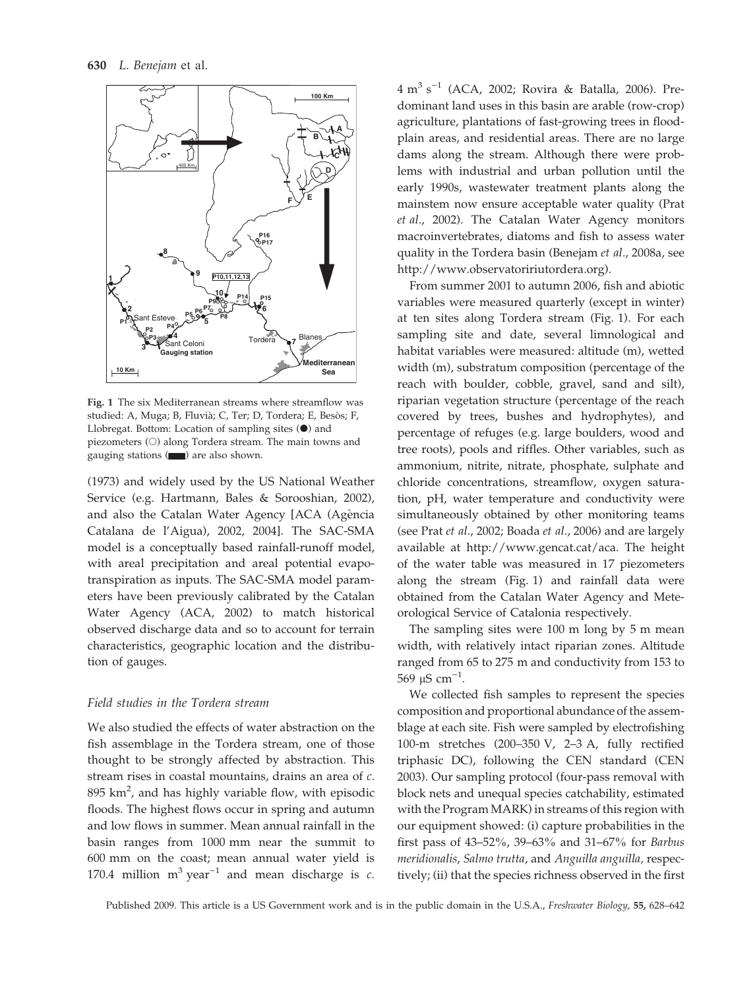

Fig. 1 The six Mediterranean streams where streamflow was studied: A, Muga; B, Fluvià; C, Ter; D, Tordera; E, Besòs; F, Llobregat. Bottom: Location of sampling sites  $(①)$  and piezometers  $(\bigcirc)$  along Tordera stream. The main towns and gauging stations ( $\Box$ ) are also shown.

(1973) and widely used by the US National Weather Service (e.g. Hartmann, Bales & Sorooshian, 2002), and also the Catalan Water Agency [ACA (Agència Catalana de l'Aigua), 2002, 2004]. The SAC-SMA model is a conceptually based rainfall-runoff model, with areal precipitation and areal potential evapotranspiration as inputs. The SAC-SMA model parameters have been previously calibrated by the Catalan Water Agency (ACA, 2002) to match historical observed discharge data and so to account for terrain characteristics, geographic location and the distribution of gauges.

#### Field studies in the Tordera stream

We also studied the effects of water abstraction on the fish assemblage in the Tordera stream, one of those thought to be strongly affected by abstraction. This stream rises in coastal mountains, drains an area of c.  $895 \text{ km}^2$ , and has highly variable flow, with episodic floods. The highest flows occur in spring and autumn and low flows in summer. Mean annual rainfall in the basin ranges from 1000 mm near the summit to 600 mm on the coast; mean annual water yield is 170.4 million  $m^3$  year<sup>-1</sup> and mean discharge is  $c$ .

 $4 \text{ m}^3 \text{ s}^{-1}$  (ACA, 2002; Rovira & Batalla, 2006). Predominant land uses in this basin are arable (row-crop) agriculture, plantations of fast-growing trees in floodplain areas, and residential areas. There are no large dams along the stream. Although there were problems with industrial and urban pollution until the early 1990s, wastewater treatment plants along the mainstem now ensure acceptable water quality (Prat et al., 2002). The Catalan Water Agency monitors macroinvertebrates, diatoms and fish to assess water quality in the Tordera basin (Benejam et al., 2008a, see http://www.observatoririutordera.org).

From summer 2001 to autumn 2006, fish and abiotic variables were measured quarterly (except in winter) at ten sites along Tordera stream (Fig. 1). For each sampling site and date, several limnological and habitat variables were measured: altitude (m), wetted width (m), substratum composition (percentage of the reach with boulder, cobble, gravel, sand and silt), riparian vegetation structure (percentage of the reach covered by trees, bushes and hydrophytes), and percentage of refuges (e.g. large boulders, wood and tree roots), pools and riffles. Other variables, such as ammonium, nitrite, nitrate, phosphate, sulphate and chloride concentrations, streamflow, oxygen saturation, pH, water temperature and conductivity were simultaneously obtained by other monitoring teams (see Prat et al., 2002; Boada et al., 2006) and are largely available at http://www.gencat.cat/aca. The height of the water table was measured in 17 piezometers along the stream (Fig. 1) and rainfall data were obtained from the Catalan Water Agency and Meteorological Service of Catalonia respectively.

The sampling sites were 100 m long by 5 m mean width, with relatively intact riparian zones. Altitude ranged from 65 to 275 m and conductivity from 153 to  $569 \mu S \text{ cm}^{-1}$ .

We collected fish samples to represent the species composition and proportional abundance of the assemblage at each site. Fish were sampled by electrofishing 100-m stretches (200–350 V, 2–3 A, fully rectified triphasic DC), following the CEN standard (CEN 2003). Our sampling protocol (four-pass removal with block nets and unequal species catchability, estimated with the Program MARK) in streams of this region with our equipment showed: (i) capture probabilities in the first pass of 43–52%, 39–63% and 31–67% for Barbus meridionalis, Salmo trutta, and Anguilla anguilla, respectively; (ii) that the species richness observed in the first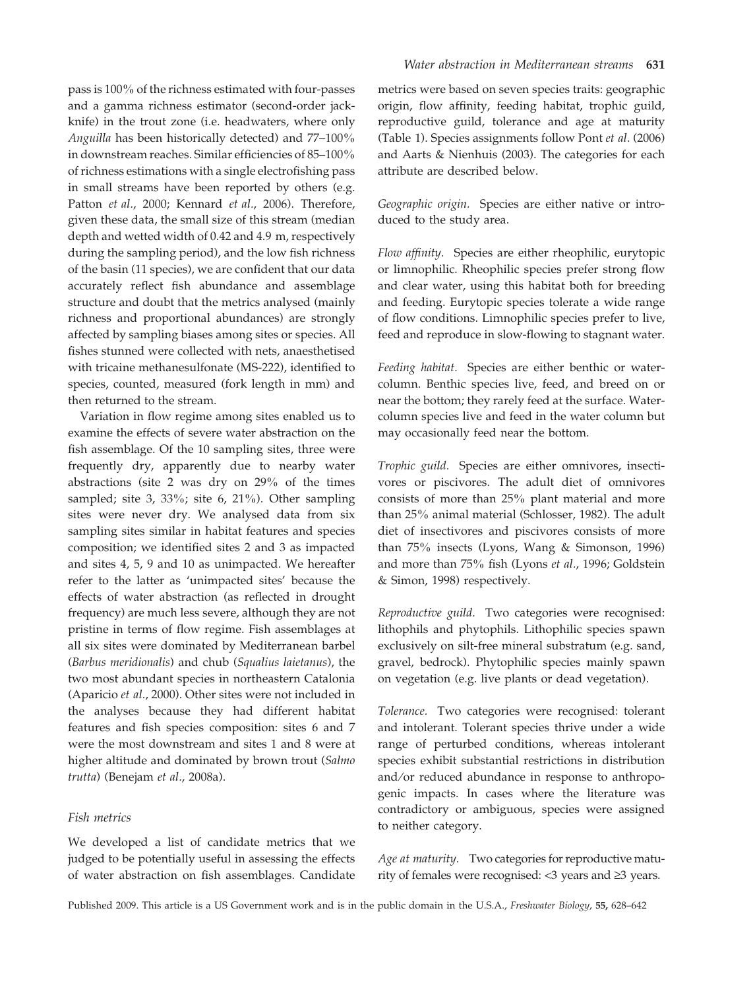pass is 100% of the richness estimated with four-passes and a gamma richness estimator (second-order jackknife) in the trout zone (i.e. headwaters, where only Anguilla has been historically detected) and 77–100% in downstream reaches. Similar efficiencies of 85–100% of richness estimations with a single electrofishing pass in small streams have been reported by others (e.g. Patton et al., 2000; Kennard et al., 2006). Therefore, given these data, the small size of this stream (median depth and wetted width of 0.42 and 4.9 m, respectively during the sampling period), and the low fish richness of the basin (11 species), we are confident that our data accurately reflect fish abundance and assemblage structure and doubt that the metrics analysed (mainly richness and proportional abundances) are strongly affected by sampling biases among sites or species. All fishes stunned were collected with nets, anaesthetised with tricaine methanesulfonate (MS-222), identified to species, counted, measured (fork length in mm) and then returned to the stream.

Variation in flow regime among sites enabled us to examine the effects of severe water abstraction on the fish assemblage. Of the 10 sampling sites, three were frequently dry, apparently due to nearby water abstractions (site 2 was dry on 29% of the times sampled; site 3, 33%; site 6, 21%). Other sampling sites were never dry. We analysed data from six sampling sites similar in habitat features and species composition; we identified sites 2 and 3 as impacted and sites 4, 5, 9 and 10 as unimpacted. We hereafter refer to the latter as 'unimpacted sites' because the effects of water abstraction (as reflected in drought frequency) are much less severe, although they are not pristine in terms of flow regime. Fish assemblages at all six sites were dominated by Mediterranean barbel (Barbus meridionalis) and chub (Squalius laietanus), the two most abundant species in northeastern Catalonia (Aparicio et al., 2000). Other sites were not included in the analyses because they had different habitat features and fish species composition: sites 6 and 7 were the most downstream and sites 1 and 8 were at higher altitude and dominated by brown trout (Salmo trutta) (Benejam et al., 2008a).

## Fish metrics

We developed a list of candidate metrics that we judged to be potentially useful in assessing the effects of water abstraction on fish assemblages. Candidate metrics were based on seven species traits: geographic origin, flow affinity, feeding habitat, trophic guild, reproductive guild, tolerance and age at maturity (Table 1). Species assignments follow Pont et al. (2006) and Aarts & Nienhuis (2003). The categories for each attribute are described below.

Geographic origin. Species are either native or introduced to the study area.

Flow affinity. Species are either rheophilic, eurytopic or limnophilic. Rheophilic species prefer strong flow and clear water, using this habitat both for breeding and feeding. Eurytopic species tolerate a wide range of flow conditions. Limnophilic species prefer to live, feed and reproduce in slow-flowing to stagnant water.

Feeding habitat. Species are either benthic or watercolumn. Benthic species live, feed, and breed on or near the bottom; they rarely feed at the surface. Watercolumn species live and feed in the water column but may occasionally feed near the bottom.

Trophic guild. Species are either omnivores, insectivores or piscivores. The adult diet of omnivores consists of more than 25% plant material and more than 25% animal material (Schlosser, 1982). The adult diet of insectivores and piscivores consists of more than 75% insects (Lyons, Wang & Simonson, 1996) and more than 75% fish (Lyons et al., 1996; Goldstein & Simon, 1998) respectively.

Reproductive guild. Two categories were recognised: lithophils and phytophils. Lithophilic species spawn exclusively on silt-free mineral substratum (e.g. sand, gravel, bedrock). Phytophilic species mainly spawn on vegetation (e.g. live plants or dead vegetation).

Tolerance. Two categories were recognised: tolerant and intolerant. Tolerant species thrive under a wide range of perturbed conditions, whereas intolerant species exhibit substantial restrictions in distribution and⁄or reduced abundance in response to anthropogenic impacts. In cases where the literature was contradictory or ambiguous, species were assigned to neither category.

Age at maturity. Two categories for reproductive maturity of females were recognised: <3 years and  $\geq$ 3 years.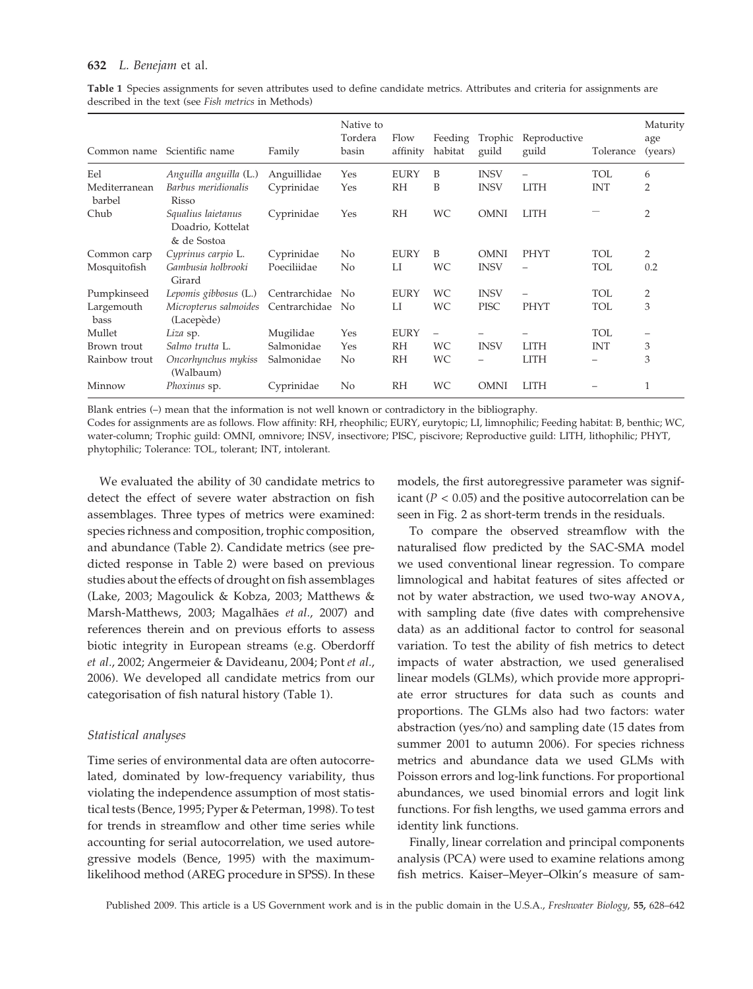#### 632 L. Benejam et al.

Table 1 Species assignments for seven attributes used to define candidate metrics. Attributes and criteria for assignments are described in the text (see Fish metrics in Methods)

| Common name             | Scientific name                                        | Family        | Native to<br>Tordera<br>basin | Flow<br>affinity | Feeding<br>habitat       | Trophic<br>guild | Reproductive<br>guild | Tolerance  | Maturity<br>age<br>(years) |
|-------------------------|--------------------------------------------------------|---------------|-------------------------------|------------------|--------------------------|------------------|-----------------------|------------|----------------------------|
| Eel                     | Anguilla anguilla (L.)                                 | Anguillidae   | Yes                           | <b>EURY</b>      | B                        | <b>INSV</b>      |                       | TOL        | 6                          |
| Mediterranean<br>barbel | Barbus meridionalis<br>Risso                           | Cyprinidae    | Yes                           | <b>RH</b>        | B                        | <b>INSV</b>      | <b>LITH</b>           | <b>INT</b> | $\overline{2}$             |
| Chub                    | Squalius laietanus<br>Doadrio, Kottelat<br>& de Sostoa | Cyprinidae    | Yes                           | RH               | WC                       | <b>OMNI</b>      | <b>LITH</b>           |            | $\overline{2}$             |
| Common carp             | Cyprinus carpio L.                                     | Cyprinidae    | No                            | <b>EURY</b>      | B                        | <b>OMNI</b>      | <b>PHYT</b>           | TOL        | 2                          |
| Mosquitofish            | Gambusia holbrooki<br>Girard                           | Poeciliidae   | No                            | $_{\text{LI}}$   | WC                       | <b>INSV</b>      |                       | TOL        | 0.2                        |
| Pumpkinseed             | Lepomis gibbosus (L.)                                  | Centrarchidae | No                            | <b>EURY</b>      | <b>WC</b>                | <b>INSV</b>      |                       | TOL        | $\overline{2}$             |
| Largemouth<br>bass      | Micropterus salmoides<br>(Lacepède)                    | Centrarchidae | N <sub>0</sub>                | $_{\text{LI}}$   | <b>WC</b>                | <b>PISC</b>      | <b>PHYT</b>           | TOL        | 3                          |
| Mullet                  | Liza sp.                                               | Mugilidae     | Yes                           | <b>EURY</b>      | $\overline{\phantom{0}}$ |                  |                       | TOL        |                            |
| Brown trout             | Salmo trutta L.                                        | Salmonidae    | Yes                           | <b>RH</b>        | <b>WC</b>                | <b>INSV</b>      | <b>LITH</b>           | <b>INT</b> | 3                          |
| Rainbow trout           | Oncorhynchus mykiss<br>(Walbaum)                       | Salmonidae    | No                            | <b>RH</b>        | <b>WC</b>                | -                | <b>LITH</b>           | -          | 3                          |
| Minnow                  | Phoxinus sp.                                           | Cyprinidae    | No                            | <b>RH</b>        | WC                       | <b>OMNI</b>      | <b>LITH</b>           |            | 1                          |

Blank entries (–) mean that the information is not well known or contradictory in the bibliography.

Codes for assignments are as follows. Flow affinity: RH, rheophilic; EURY, eurytopic; LI, limnophilic; Feeding habitat: B, benthic; WC, water-column; Trophic guild: OMNI, omnivore; INSV, insectivore; PISC, piscivore; Reproductive guild: LITH, lithophilic; PHYT, phytophilic; Tolerance: TOL, tolerant; INT, intolerant.

We evaluated the ability of 30 candidate metrics to detect the effect of severe water abstraction on fish assemblages. Three types of metrics were examined: species richness and composition, trophic composition, and abundance (Table 2). Candidate metrics (see predicted response in Table 2) were based on previous studies about the effects of drought on fish assemblages (Lake, 2003; Magoulick & Kobza, 2003; Matthews & Marsh-Matthews, 2003; Magalhães et al., 2007) and references therein and on previous efforts to assess biotic integrity in European streams (e.g. Oberdorff et al., 2002; Angermeier & Davideanu, 2004; Pont et al., 2006). We developed all candidate metrics from our categorisation of fish natural history (Table 1).

### Statistical analyses

Time series of environmental data are often autocorrelated, dominated by low-frequency variability, thus violating the independence assumption of most statistical tests (Bence, 1995; Pyper & Peterman, 1998). To test for trends in streamflow and other time series while accounting for serial autocorrelation, we used autoregressive models (Bence, 1995) with the maximumlikelihood method (AREG procedure in SPSS). In these models, the first autoregressive parameter was significant ( $P < 0.05$ ) and the positive autocorrelation can be seen in Fig. 2 as short-term trends in the residuals.

To compare the observed streamflow with the naturalised flow predicted by the SAC-SMA model we used conventional linear regression. To compare limnological and habitat features of sites affected or not by water abstraction, we used two-way ANOVA, with sampling date (five dates with comprehensive data) as an additional factor to control for seasonal variation. To test the ability of fish metrics to detect impacts of water abstraction, we used generalised linear models (GLMs), which provide more appropriate error structures for data such as counts and proportions. The GLMs also had two factors: water abstraction (yes/no) and sampling date (15 dates from summer 2001 to autumn 2006). For species richness metrics and abundance data we used GLMs with Poisson errors and log-link functions. For proportional abundances, we used binomial errors and logit link functions. For fish lengths, we used gamma errors and identity link functions.

Finally, linear correlation and principal components analysis (PCA) were used to examine relations among fish metrics. Kaiser–Meyer–Olkin's measure of sam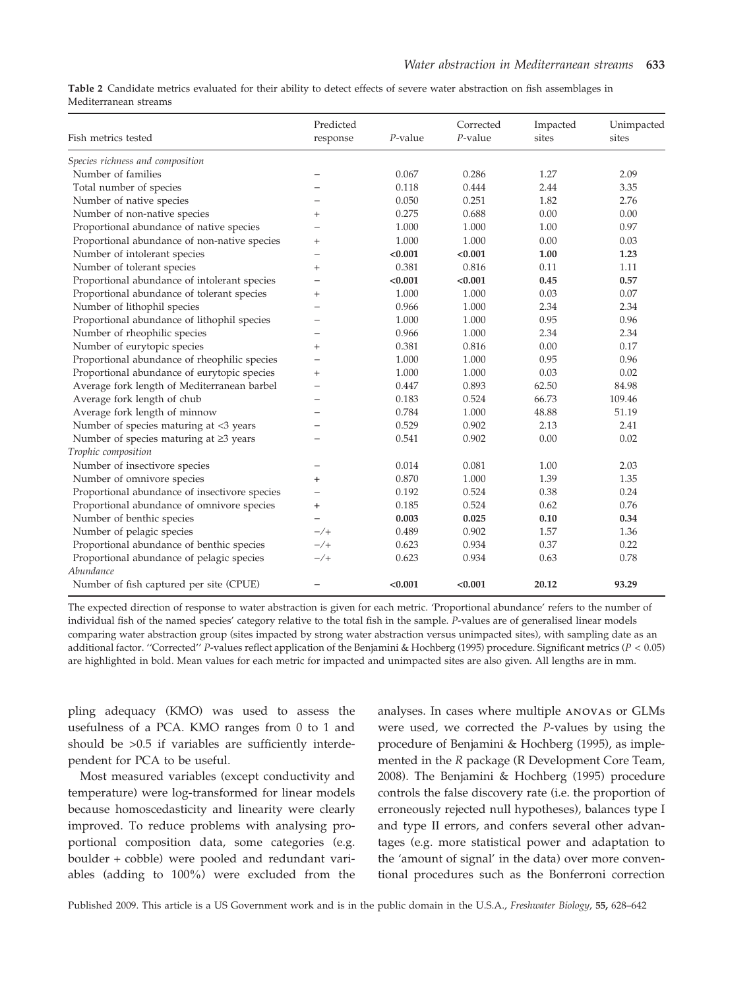Table 2 Candidate metrics evaluated for their ability to detect effects of severe water abstraction on fish assemblages in Mediterranean streams

| Fish metrics tested                           | Predicted<br>response | $P$ -value | Corrected<br>$P$ -value | Impacted<br>sites | Unimpacted<br>sites |
|-----------------------------------------------|-----------------------|------------|-------------------------|-------------------|---------------------|
| Species richness and composition              |                       |            |                         |                   |                     |
| Number of families                            |                       | 0.067      | 0.286                   | 1.27              | 2.09                |
| Total number of species                       |                       | 0.118      | 0.444                   | 2.44              | 3.35                |
| Number of native species                      |                       | 0.050      | 0.251                   | 1.82              | 2.76                |
| Number of non-native species                  | $\, + \,$             | 0.275      | 0.688                   | 0.00              | 0.00                |
| Proportional abundance of native species      |                       | 1.000      | 1.000                   | 1.00              | 0.97                |
| Proportional abundance of non-native species  | $^{+}$                | 1.000      | 1.000                   | 0.00              | 0.03                |
| Number of intolerant species                  | -                     | < 0.001    | < 0.001                 | 1.00              | 1.23                |
| Number of tolerant species                    | $^{+}$                | 0.381      | 0.816                   | 0.11              | 1.11                |
| Proportional abundance of intolerant species  | L.                    | < 0.001    | < 0.001                 | 0.45              | 0.57                |
| Proportional abundance of tolerant species    |                       | 1.000      | 1.000                   | 0.03              | 0.07                |
| Number of lithophil species                   |                       | 0.966      | 1.000                   | 2.34              | 2.34                |
| Proportional abundance of lithophil species   |                       | 1.000      | 1.000                   | 0.95              | 0.96                |
| Number of rheophilic species                  | -                     | 0.966      | 1.000                   | 2.34              | 2.34                |
| Number of eurytopic species                   | $+$                   | 0.381      | 0.816                   | 0.00              | 0.17                |
| Proportional abundance of rheophilic species  |                       | 1.000      | 1.000                   | 0.95              | 0.96                |
| Proportional abundance of eurytopic species   | $+$                   | 1.000      | 1.000                   | 0.03              | 0.02                |
| Average fork length of Mediterranean barbel   |                       | 0.447      | 0.893                   | 62.50             | 84.98               |
| Average fork length of chub                   | -                     | 0.183      | 0.524                   | 66.73             | 109.46              |
| Average fork length of minnow                 |                       | 0.784      | 1.000                   | 48.88             | 51.19               |
| Number of species maturing at <3 years        |                       | 0.529      | 0.902                   | 2.13              | 2.41                |
| Number of species maturing at $\geq$ 3 years  |                       | 0.541      | 0.902                   | 0.00              | 0.02                |
| Trophic composition                           |                       |            |                         |                   |                     |
| Number of insectivore species                 |                       | 0.014      | 0.081                   | 1.00              | 2.03                |
| Number of omnivore species                    | $\ddot{}$             | 0.870      | 1.000                   | 1.39              | 1.35                |
| Proportional abundance of insectivore species |                       | 0.192      | 0.524                   | 0.38              | 0.24                |
| Proportional abundance of omnivore species    | $\ddot{}$             | 0.185      | 0.524                   | 0.62              | 0.76                |
| Number of benthic species                     |                       | 0.003      | 0.025                   | 0.10              | 0.34                |
| Number of pelagic species                     | $-\big/+\big)$        | 0.489      | 0.902                   | 1.57              | 1.36                |
| Proportional abundance of benthic species     | $-\big/+\big)$        | 0.623      | 0.934                   | 0.37              | 0.22                |
| Proportional abundance of pelagic species     | $-/+$                 | 0.623      | 0.934                   | 0.63              | 0.78                |
| Abundance                                     |                       |            |                         |                   |                     |
| Number of fish captured per site (CPUE)       |                       | < 0.001    | < 0.001                 | 20.12             | 93.29               |

The expected direction of response to water abstraction is given for each metric. 'Proportional abundance' refers to the number of individual fish of the named species' category relative to the total fish in the sample. P-values are of generalised linear models comparing water abstraction group (sites impacted by strong water abstraction versus unimpacted sites), with sampling date as an additional factor. "Corrected" P-values reflect application of the Benjamini & Hochberg (1995) procedure. Significant metrics ( $P < 0.05$ ) are highlighted in bold. Mean values for each metric for impacted and unimpacted sites are also given. All lengths are in mm.

pling adequacy (KMO) was used to assess the usefulness of a PCA. KMO ranges from 0 to 1 and should be >0.5 if variables are sufficiently interdependent for PCA to be useful.

Most measured variables (except conductivity and temperature) were log-transformed for linear models because homoscedasticity and linearity were clearly improved. To reduce problems with analysing proportional composition data, some categories (e.g. boulder + cobble) were pooled and redundant variables (adding to 100%) were excluded from the analyses. In cases where multiple ANOVAs or GLMs were used, we corrected the P-values by using the procedure of Benjamini & Hochberg (1995), as implemented in the R package (R Development Core Team, 2008). The Benjamini & Hochberg (1995) procedure controls the false discovery rate (i.e. the proportion of erroneously rejected null hypotheses), balances type I and type II errors, and confers several other advantages (e.g. more statistical power and adaptation to the 'amount of signal' in the data) over more conventional procedures such as the Bonferroni correction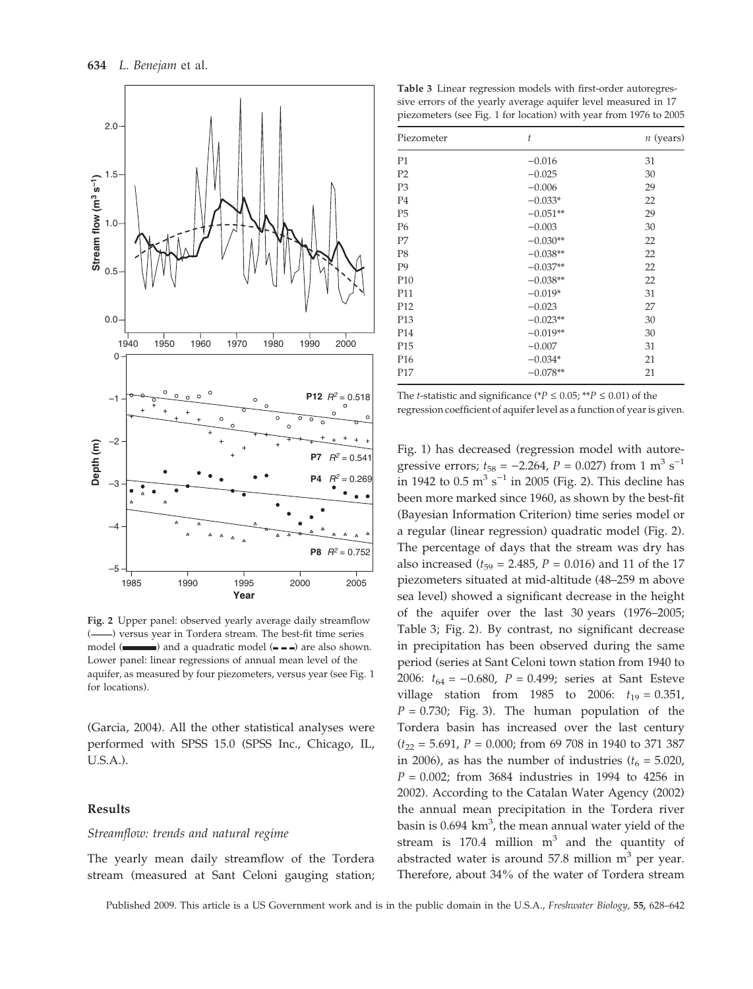

Fig. 2 Upper panel: observed yearly average daily streamflow (-) versus year in Tordera stream. The best-fit time series model ( $\Box$ ) and a quadratic model  $( \Box - )$  are also shown. Lower panel: linear regressions of annual mean level of the aquifer, as measured by four piezometers, versus year (see Fig. 1 for locations).

(Garcia, 2004). All the other statistical analyses were performed with SPSS 15.0 (SPSS Inc., Chicago, IL, U.S.A.).

### Results

## Streamflow: trends and natural regime

The yearly mean daily streamflow of the Tordera stream (measured at Sant Celoni gauging station;

Table 3 Linear regression models with first-order autoregressive errors of the yearly average aquifer level measured in 17 piezometers (see Fig. 1 for location) with year from 1976 to 2005

| Piezometer      | t          | $n$ (years) |
|-----------------|------------|-------------|
| P <sub>1</sub>  | $-0.016$   | 31          |
| P <sub>2</sub>  | $-0.025$   | 30          |
| P <sub>3</sub>  | $-0.006$   | 29          |
| P <sub>4</sub>  | $-0.033*$  | 22          |
| P <sub>5</sub>  | $-0.051**$ | 29          |
| P <sub>6</sub>  | $-0.003$   | 30          |
| P7              | $-0.030**$ | 22          |
| P <sub>8</sub>  | $-0.038**$ | 22          |
| P <sub>9</sub>  | $-0.037**$ | 22          |
| P <sub>10</sub> | $-0.038**$ | 22          |
| P <sub>11</sub> | $-0.019*$  | 31          |
| P <sub>12</sub> | $-0.023$   | 27          |
| P <sub>13</sub> | $-0.023**$ | 30          |
| P14             | $-0.019**$ | 30          |
| P <sub>15</sub> | $-0.007$   | 31          |
| P <sub>16</sub> | $-0.034*$  | 21          |
| P <sub>17</sub> | $-0.078**$ | 21          |

| The <i>t</i> -statistic and significance (* $P \le 0.05$ ; ** $P \le 0.01$ ) of the |  |
|-------------------------------------------------------------------------------------|--|
| regression coefficient of aquifer level as a function of year is given.             |  |

Fig. 1) has decreased (regression model with autoregressive errors;  $t_{58} = -2.264$ ,  $P = 0.027$ ) from 1 m<sup>3</sup> s<sup>-1</sup> in 1942 to  $0.5 \text{ m}^3 \text{ s}^{-1}$  in 2005 (Fig. 2). This decline has been more marked since 1960, as shown by the best-fit (Bayesian Information Criterion) time series model or a regular (linear regression) quadratic model (Fig. 2). The percentage of days that the stream was dry has also increased ( $t_{59} = 2.485$ ,  $P = 0.016$ ) and 11 of the 17 piezometers situated at mid-altitude (48–259 m above sea level) showed a significant decrease in the height of the aquifer over the last 30 years (1976–2005; Table 3; Fig. 2). By contrast, no significant decrease in precipitation has been observed during the same period (series at Sant Celoni town station from 1940 to 2006:  $t_{64} = -0.680$ , P = 0.499; series at Sant Esteve village station from 1985 to 2006:  $t_{19} = 0.351$ ,  $P = 0.730$ ; Fig. 3). The human population of the Tordera basin has increased over the last century  $(t_{22} = 5.691, P = 0.000;$  from 69 708 in 1940 to 371 387 in 2006), as has the number of industries  $(t_6 = 5.020)$ ,  $P = 0.002$ ; from 3684 industries in 1994 to 4256 in 2002). According to the Catalan Water Agency (2002) the annual mean precipitation in the Tordera river basin is  $0.694 \text{ km}^3$ , the mean annual water yield of the stream is 170.4 million  $m<sup>3</sup>$  and the quantity of abstracted water is around 57.8 million  $m<sup>3</sup>$  per year. Therefore, about 34% of the water of Tordera stream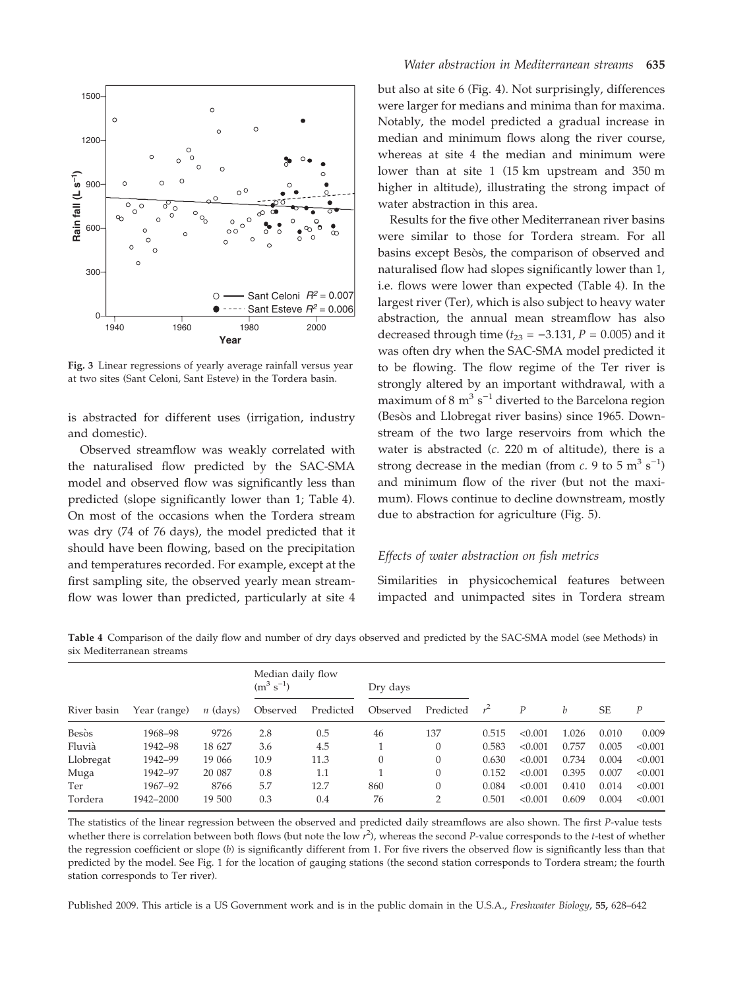

Fig. 3 Linear regressions of yearly average rainfall versus year at two sites (Sant Celoni, Sant Esteve) in the Tordera basin.

is abstracted for different uses (irrigation, industry and domestic).

Observed streamflow was weakly correlated with the naturalised flow predicted by the SAC-SMA model and observed flow was significantly less than predicted (slope significantly lower than 1; Table 4). On most of the occasions when the Tordera stream was dry (74 of 76 days), the model predicted that it should have been flowing, based on the precipitation and temperatures recorded. For example, except at the first sampling site, the observed yearly mean streamflow was lower than predicted, particularly at site 4 but also at site 6 (Fig. 4). Not surprisingly, differences were larger for medians and minima than for maxima. Notably, the model predicted a gradual increase in median and minimum flows along the river course, whereas at site 4 the median and minimum were lower than at site 1 (15 km upstream and 350 m higher in altitude), illustrating the strong impact of water abstraction in this area.

Results for the five other Mediterranean river basins were similar to those for Tordera stream. For all basins except Besòs, the comparison of observed and naturalised flow had slopes significantly lower than 1, i.e. flows were lower than expected (Table 4). In the largest river (Ter), which is also subject to heavy water abstraction, the annual mean streamflow has also decreased through time  $(t_{23} = -3.131, P = 0.005)$  and it was often dry when the SAC-SMA model predicted it to be flowing. The flow regime of the Ter river is strongly altered by an important withdrawal, with a maximum of 8  $m^3 s^{-1}$  diverted to the Barcelona region (Besòs and Llobregat river basins) since 1965. Downstream of the two large reservoirs from which the water is abstracted (c. 220 m of altitude), there is a strong decrease in the median (from  $c$ . 9 to 5 m<sup>3</sup> s<sup>-1</sup>) and minimum flow of the river (but not the maximum). Flows continue to decline downstream, mostly due to abstraction for agriculture (Fig. 5).

#### Effects of water abstraction on fish metrics

Similarities in physicochemical features between impacted and unimpacted sites in Tordera stream

|                           | Table 4 Comparison of the daily flow and number of dry days observed and predicted by the SAC-SMA model (see Methods) in |  |  |  |
|---------------------------|--------------------------------------------------------------------------------------------------------------------------|--|--|--|
| six Mediterranean streams |                                                                                                                          |  |  |  |

|             |              |            | Median daily flow<br>$(m^3 s^{-1})$ |           | Dry days |              |       |         |       |       |         |
|-------------|--------------|------------|-------------------------------------|-----------|----------|--------------|-------|---------|-------|-------|---------|
| River basin | Year (range) | $n$ (days) | Observed                            | Predicted | Observed | Predicted    | $r^2$ | D       | h     | SE    | P       |
| Besòs       | 1968–98      | 9726       | 2.8                                 | 0.5       | 46       | 137          | 0.515 | < 0.001 | 1.026 | 0.010 | 0.009   |
| Fluvià      | 1942–98      | 18 627     | 3.6                                 | 4.5       |          | $\theta$     | 0.583 | < 0.001 | 0.757 | 0.005 | < 0.001 |
| Llobregat   | 1942-99      | 19 066     | 10.9                                | 11.3      | 0        | $\mathbf{0}$ | 0.630 | < 0.001 | 0.734 | 0.004 | < 0.001 |
| Muga        | 1942-97      | 20 087     | 0.8                                 | 1.1       |          | $\mathbf{0}$ | 0.152 | < 0.001 | 0.395 | 0.007 | < 0.001 |
| Ter         | 1967-92      | 8766       | 5.7                                 | 12.7      | 860      | $\theta$     | 0.084 | < 0.001 | 0.410 | 0.014 | < 0.001 |
| Tordera     | 1942–2000    | 19 500     | 0.3                                 | 0.4       | 76       | 2            | 0.501 | < 0.001 | 0.609 | 0.004 | < 0.001 |

The statistics of the linear regression between the observed and predicted daily streamflows are also shown. The first P-value tests whether there is correlation between both flows (but note the low  $r^2$ ), whereas the second P-value corresponds to the t-test of whether the regression coefficient or slope (b) is significantly different from 1. For five rivers the observed flow is significantly less than that predicted by the model. See Fig. 1 for the location of gauging stations (the second station corresponds to Tordera stream; the fourth station corresponds to Ter river).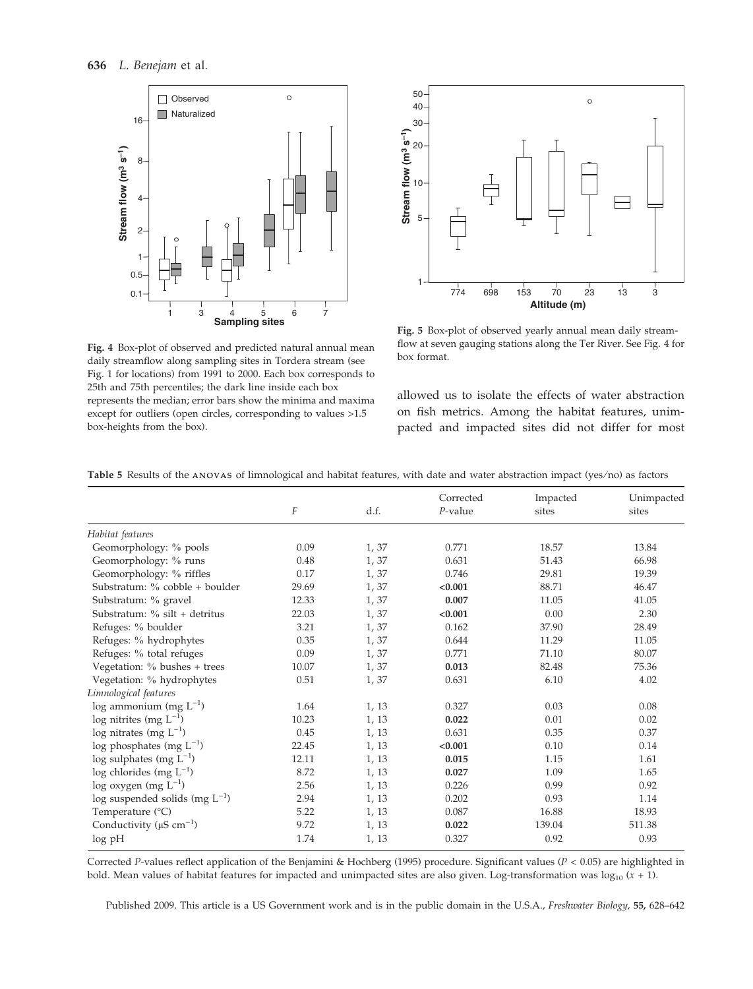box-heights from the box).



Fig. 4 Box-plot of observed and predicted natural annual mean daily streamflow along sampling sites in Tordera stream (see Fig. 1 for locations) from 1991 to 2000. Each box corresponds to 25th and 75th percentiles; the dark line inside each box represents the median; error bars show the minima and maxima except for outliers (open circles, corresponding to values >1.5



Fig. 5 Box-plot of observed yearly annual mean daily streamflow at seven gauging stations along the Ter River. See Fig. 4 for box format.

allowed us to isolate the effects of water abstraction on fish metrics. Among the habitat features, unimpacted and impacted sites did not differ for most

|                                           |       |       | Corrected  | Impacted | Unimpacted |
|-------------------------------------------|-------|-------|------------|----------|------------|
|                                           | F     | d.f.  | $P$ -value | sites    | sites      |
| Habitat features                          |       |       |            |          |            |
| Geomorphology: % pools                    | 0.09  | 1,37  | 0.771      | 18.57    | 13.84      |
| Geomorphology: % runs                     | 0.48  | 1,37  | 0.631      | 51.43    | 66.98      |
| Geomorphology: % riffles                  | 0.17  | 1,37  | 0.746      | 29.81    | 19.39      |
| Substratum: % cobble + boulder            | 29.69 | 1,37  | < 0.001    | 88.71    | 46.47      |
| Substratum: % gravel                      | 12.33 | 1,37  | 0.007      | 11.05    | 41.05      |
| Substratum: $\%$ silt + detritus          | 22.03 | 1,37  | < 0.001    | 0.00     | 2.30       |
| Refuges: % boulder                        | 3.21  | 1,37  | 0.162      | 37.90    | 28.49      |
| Refuges: % hydrophytes                    | 0.35  | 1,37  | 0.644      | 11.29    | 11.05      |
| Refuges: % total refuges                  | 0.09  | 1,37  | 0.771      | 71.10    | 80.07      |
| Vegetation: $\%$ bushes + trees           | 10.07 | 1,37  | 0.013      | 82.48    | 75.36      |
| Vegetation: % hydrophytes                 | 0.51  | 1,37  | 0.631      | 6.10     | 4.02       |
| Limnological features                     |       |       |            |          |            |
| $\log$ ammonium (mg $L^{-1}$ )            | 1.64  | 1, 13 | 0.327      | 0.03     | 0.08       |
| $\log$ nitrites (mg $L^{-1}$ )            | 10.23 | 1, 13 | 0.022      | 0.01     | 0.02       |
| $\log$ nitrates (mg $L^{-1}$ )            | 0.45  | 1, 13 | 0.631      | 0.35     | 0.37       |
| log phosphates (mg $L^{-1}$ )             | 22.45 | 1, 13 | < 0.001    | 0.10     | 0.14       |
| $\log$ sulphates (mg $L^{-1}$ )           | 12.11 | 1, 13 | 0.015      | 1.15     | 1.61       |
| $\log$ chlorides (mg $L^{-1}$ )           | 8.72  | 1, 13 | 0.027      | 1.09     | 1.65       |
| $\log$ oxygen (mg $L^{-1}$ )              | 2.56  | 1, 13 | 0.226      | 0.99     | 0.92       |
| $\log$ suspended solids (mg $L^{-1}$ )    | 2.94  | 1, 13 | 0.202      | 0.93     | 1.14       |
| Temperature (°C)                          | 5.22  | 1, 13 | 0.087      | 16.88    | 18.93      |
| Conductivity ( $\mu$ S cm <sup>-1</sup> ) | 9.72  | 1, 13 | 0.022      | 139.04   | 511.38     |
| log pH                                    | 1.74  | 1, 13 | 0.327      | 0.92     | 0.93       |

Table 5 Results of the ANOVAS of limnological and habitat features, with date and water abstraction impact (yes/no) as factors

Corrected P-values reflect application of the Benjamini & Hochberg (1995) procedure. Significant values (P < 0.05) are highlighted in bold. Mean values of habitat features for impacted and unimpacted sites are also given. Log-transformation was  $\log_{10} (x + 1)$ .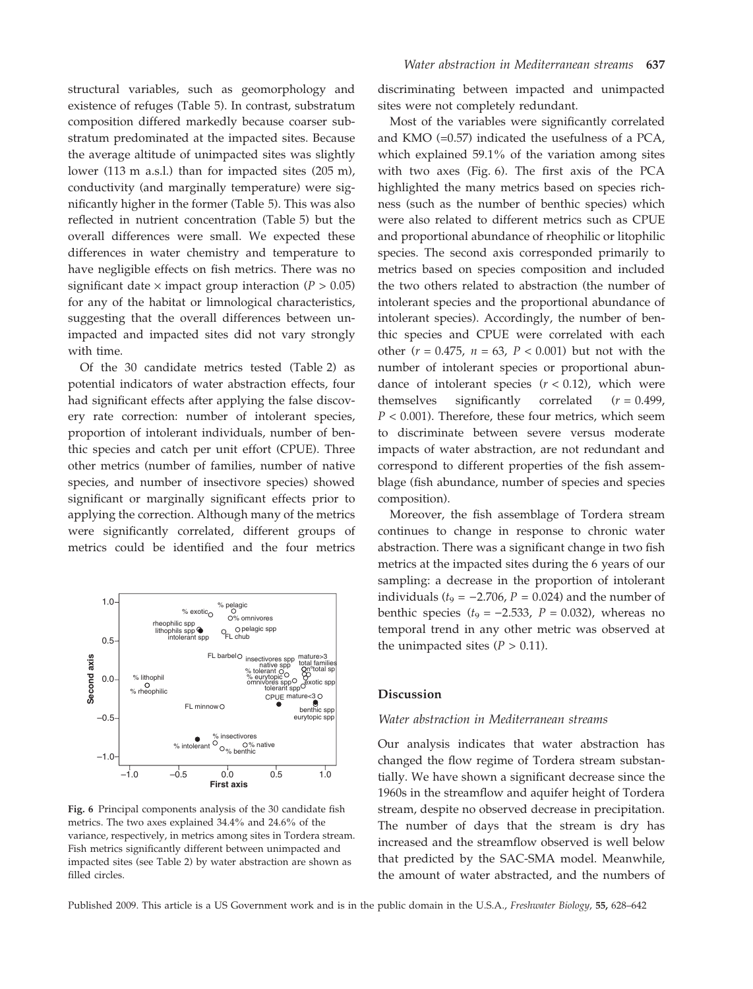structural variables, such as geomorphology and existence of refuges (Table 5). In contrast, substratum composition differed markedly because coarser substratum predominated at the impacted sites. Because the average altitude of unimpacted sites was slightly lower (113 m a.s.l.) than for impacted sites (205 m), conductivity (and marginally temperature) were significantly higher in the former (Table 5). This was also reflected in nutrient concentration (Table 5) but the overall differences were small. We expected these differences in water chemistry and temperature to have negligible effects on fish metrics. There was no significant date  $\times$  impact group interaction ( $P > 0.05$ ) for any of the habitat or limnological characteristics, suggesting that the overall differences between unimpacted and impacted sites did not vary strongly with time.

Of the 30 candidate metrics tested (Table 2) as potential indicators of water abstraction effects, four had significant effects after applying the false discovery rate correction: number of intolerant species, proportion of intolerant individuals, number of benthic species and catch per unit effort (CPUE). Three other metrics (number of families, number of native species, and number of insectivore species) showed significant or marginally significant effects prior to applying the correction. Although many of the metrics were significantly correlated, different groups of metrics could be identified and the four metrics



Fig. 6 Principal components analysis of the 30 candidate fish metrics. The two axes explained 34.4% and 24.6% of the variance, respectively, in metrics among sites in Tordera stream. Fish metrics significantly different between unimpacted and impacted sites (see Table 2) by water abstraction are shown as filled circles.

discriminating between impacted and unimpacted sites were not completely redundant.

Most of the variables were significantly correlated and KMO (=0.57) indicated the usefulness of a PCA, which explained 59.1% of the variation among sites with two axes (Fig. 6). The first axis of the PCA highlighted the many metrics based on species richness (such as the number of benthic species) which were also related to different metrics such as CPUE and proportional abundance of rheophilic or litophilic species. The second axis corresponded primarily to metrics based on species composition and included the two others related to abstraction (the number of intolerant species and the proportional abundance of intolerant species). Accordingly, the number of benthic species and CPUE were correlated with each other ( $r = 0.475$ ,  $n = 63$ ,  $P < 0.001$ ) but not with the number of intolerant species or proportional abundance of intolerant species  $(r < 0.12)$ , which were themselves significantly correlated  $(r = 0.499)$ ,  $P < 0.001$ ). Therefore, these four metrics, which seem to discriminate between severe versus moderate impacts of water abstraction, are not redundant and correspond to different properties of the fish assemblage (fish abundance, number of species and species composition).

Moreover, the fish assemblage of Tordera stream continues to change in response to chronic water abstraction. There was a significant change in two fish metrics at the impacted sites during the 6 years of our sampling: a decrease in the proportion of intolerant individuals ( $t_9 = -2.706$ ,  $P = 0.024$ ) and the number of benthic species ( $t_9 = -2.533$ ,  $P = 0.032$ ), whereas no temporal trend in any other metric was observed at the unimpacted sites  $(P > 0.11)$ .

#### Discussion

#### Water abstraction in Mediterranean streams

Our analysis indicates that water abstraction has changed the flow regime of Tordera stream substantially. We have shown a significant decrease since the 1960s in the streamflow and aquifer height of Tordera stream, despite no observed decrease in precipitation. The number of days that the stream is dry has increased and the streamflow observed is well below that predicted by the SAC-SMA model. Meanwhile, the amount of water abstracted, and the numbers of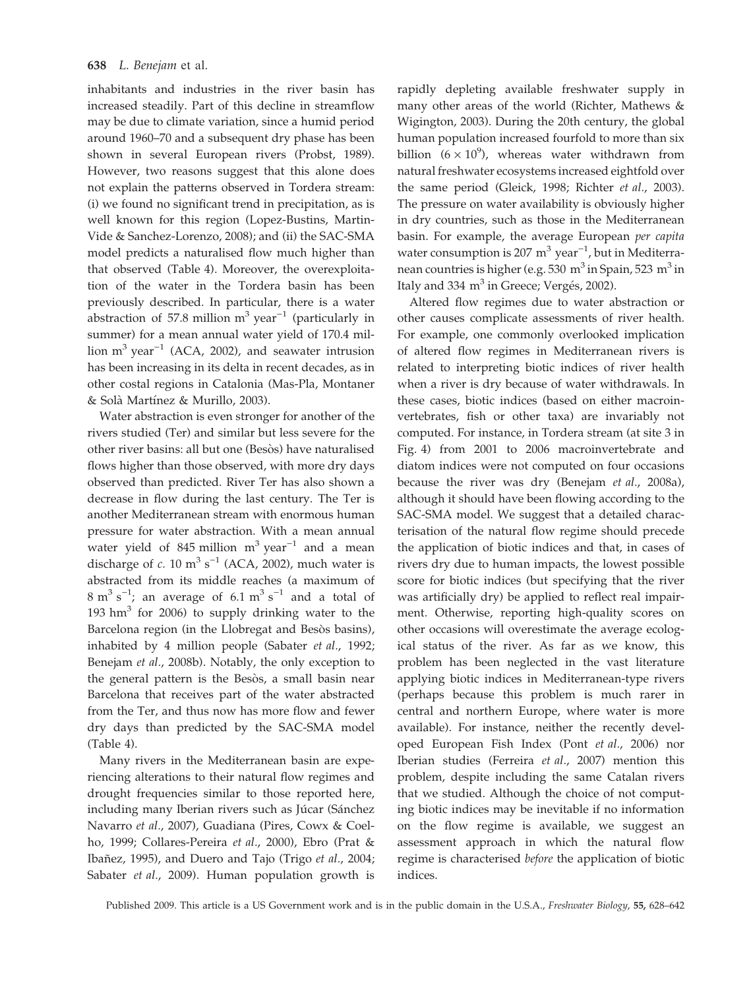inhabitants and industries in the river basin has increased steadily. Part of this decline in streamflow may be due to climate variation, since a humid period around 1960–70 and a subsequent dry phase has been shown in several European rivers (Probst, 1989). However, two reasons suggest that this alone does not explain the patterns observed in Tordera stream: (i) we found no significant trend in precipitation, as is well known for this region (Lopez-Bustins, Martin-Vide & Sanchez-Lorenzo, 2008); and (ii) the SAC-SMA model predicts a naturalised flow much higher than that observed (Table 4). Moreover, the overexploitation of the water in the Tordera basin has been previously described. In particular, there is a water abstraction of 57.8 million  $m^3$  year<sup>-1</sup> (particularly in summer) for a mean annual water yield of 170.4 million  $m^3$  year<sup>-1</sup> (ACA, 2002), and seawater intrusion has been increasing in its delta in recent decades, as in other costal regions in Catalonia (Mas-Pla, Montaner & Solà Martínez & Murillo, 2003).

Water abstraction is even stronger for another of the rivers studied (Ter) and similar but less severe for the other river basins: all but one (Besòs) have naturalised flows higher than those observed, with more dry days observed than predicted. River Ter has also shown a decrease in flow during the last century. The Ter is another Mediterranean stream with enormous human pressure for water abstraction. With a mean annual water yield of 845 million  $m^3$  year<sup>-1</sup> and a mean discharge of  $c$ . 10 m<sup>3</sup> s<sup>-1</sup> (ACA, 2002), much water is abstracted from its middle reaches (a maximum of  $8 \text{ m}^3 \text{ s}^{-1}$ ; an average of  $6.1 \text{ m}^3 \text{ s}^{-1}$  and a total of 193  $\text{hm}^3$  for 2006) to supply drinking water to the Barcelona region (in the Llobregat and Besòs basins), inhabited by 4 million people (Sabater et al., 1992; Benejam et al., 2008b). Notably, the only exception to the general pattern is the Besòs, a small basin near Barcelona that receives part of the water abstracted from the Ter, and thus now has more flow and fewer dry days than predicted by the SAC-SMA model (Table 4).

Many rivers in the Mediterranean basin are experiencing alterations to their natural flow regimes and drought frequencies similar to those reported here, including many Iberian rivers such as Júcar (Sánchez Navarro et al., 2007), Guadiana (Pires, Cowx & Coelho, 1999; Collares-Pereira et al., 2000), Ebro (Prat & Ibañez, 1995), and Duero and Tajo (Trigo et al., 2004; Sabater et al., 2009). Human population growth is rapidly depleting available freshwater supply in many other areas of the world (Richter, Mathews & Wigington, 2003). During the 20th century, the global human population increased fourfold to more than six billion  $(6 \times 10^9)$ , whereas water withdrawn from natural freshwater ecosystems increased eightfold over the same period (Gleick, 1998; Richter et al., 2003). The pressure on water availability is obviously higher in dry countries, such as those in the Mediterranean basin. For example, the average European per capita water consumption is 207  $m^3$  year<sup>-1</sup>, but in Mediterranean countries is higher (e.g. 530  $m^3$  in Spain, 523  $m^3$  in Italy and 334  $m<sup>3</sup>$  in Greece; Vergés, 2002).

Altered flow regimes due to water abstraction or other causes complicate assessments of river health. For example, one commonly overlooked implication of altered flow regimes in Mediterranean rivers is related to interpreting biotic indices of river health when a river is dry because of water withdrawals. In these cases, biotic indices (based on either macroinvertebrates, fish or other taxa) are invariably not computed. For instance, in Tordera stream (at site 3 in Fig. 4) from 2001 to 2006 macroinvertebrate and diatom indices were not computed on four occasions because the river was dry (Benejam et al., 2008a), although it should have been flowing according to the SAC-SMA model. We suggest that a detailed characterisation of the natural flow regime should precede the application of biotic indices and that, in cases of rivers dry due to human impacts, the lowest possible score for biotic indices (but specifying that the river was artificially dry) be applied to reflect real impairment. Otherwise, reporting high-quality scores on other occasions will overestimate the average ecological status of the river. As far as we know, this problem has been neglected in the vast literature applying biotic indices in Mediterranean-type rivers (perhaps because this problem is much rarer in central and northern Europe, where water is more available). For instance, neither the recently developed European Fish Index (Pont et al., 2006) nor Iberian studies (Ferreira et al., 2007) mention this problem, despite including the same Catalan rivers that we studied. Although the choice of not computing biotic indices may be inevitable if no information on the flow regime is available, we suggest an assessment approach in which the natural flow regime is characterised *before* the application of biotic indices.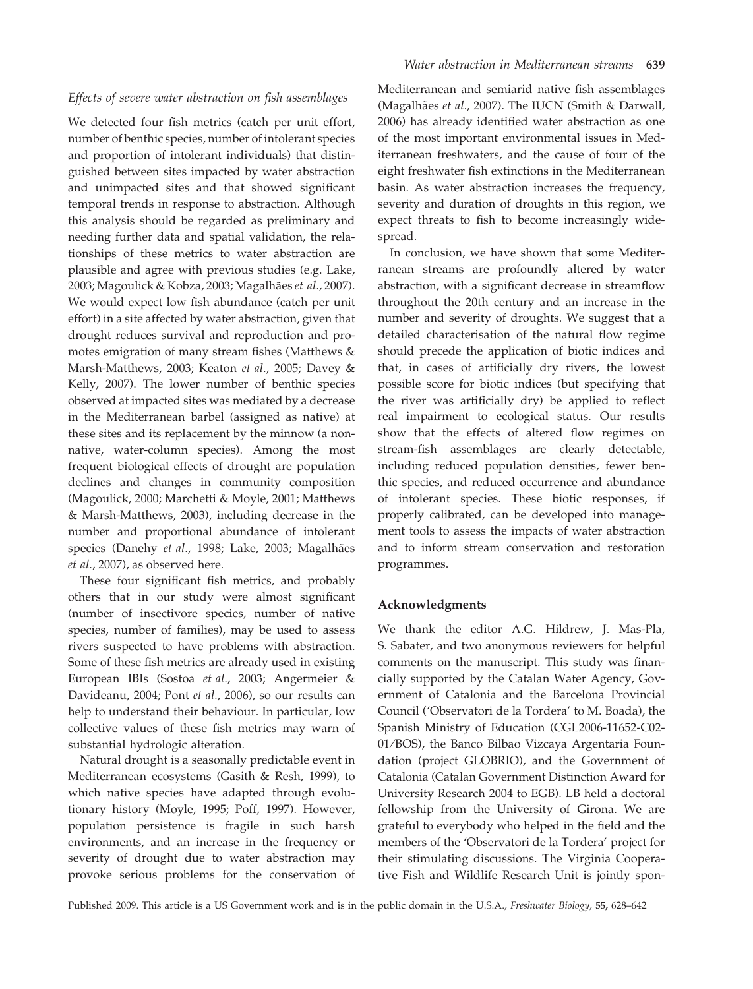#### Effects of severe water abstraction on fish assemblages

We detected four fish metrics (catch per unit effort, number of benthic species, number of intolerant species and proportion of intolerant individuals) that distinguished between sites impacted by water abstraction and unimpacted sites and that showed significant temporal trends in response to abstraction. Although this analysis should be regarded as preliminary and needing further data and spatial validation, the relationships of these metrics to water abstraction are plausible and agree with previous studies (e.g. Lake, 2003; Magoulick & Kobza, 2003; Magalhães et al., 2007). We would expect low fish abundance (catch per unit effort) in a site affected by water abstraction, given that drought reduces survival and reproduction and promotes emigration of many stream fishes (Matthews  $\&$ Marsh-Matthews, 2003; Keaton et al., 2005; Davey & Kelly, 2007). The lower number of benthic species observed at impacted sites was mediated by a decrease in the Mediterranean barbel (assigned as native) at these sites and its replacement by the minnow (a nonnative, water-column species). Among the most frequent biological effects of drought are population declines and changes in community composition (Magoulick, 2000; Marchetti & Moyle, 2001; Matthews & Marsh-Matthews, 2003), including decrease in the number and proportional abundance of intolerant species (Danehy et al., 1998; Lake, 2003; Magalhães et al., 2007), as observed here.

These four significant fish metrics, and probably others that in our study were almost significant (number of insectivore species, number of native species, number of families), may be used to assess rivers suspected to have problems with abstraction. Some of these fish metrics are already used in existing European IBIs (Sostoa et al., 2003; Angermeier & Davideanu, 2004; Pont et al., 2006), so our results can help to understand their behaviour. In particular, low collective values of these fish metrics may warn of substantial hydrologic alteration.

Natural drought is a seasonally predictable event in Mediterranean ecosystems (Gasith & Resh, 1999), to which native species have adapted through evolutionary history (Moyle, 1995; Poff, 1997). However, population persistence is fragile in such harsh environments, and an increase in the frequency or severity of drought due to water abstraction may provoke serious problems for the conservation of Mediterranean and semiarid native fish assemblages (Magalhães et al., 2007). The IUCN (Smith & Darwall, 2006) has already identified water abstraction as one of the most important environmental issues in Mediterranean freshwaters, and the cause of four of the eight freshwater fish extinctions in the Mediterranean basin. As water abstraction increases the frequency, severity and duration of droughts in this region, we expect threats to fish to become increasingly widespread.

In conclusion, we have shown that some Mediterranean streams are profoundly altered by water abstraction, with a significant decrease in streamflow throughout the 20th century and an increase in the number and severity of droughts. We suggest that a detailed characterisation of the natural flow regime should precede the application of biotic indices and that, in cases of artificially dry rivers, the lowest possible score for biotic indices (but specifying that the river was artificially dry) be applied to reflect real impairment to ecological status. Our results show that the effects of altered flow regimes on stream-fish assemblages are clearly detectable, including reduced population densities, fewer benthic species, and reduced occurrence and abundance of intolerant species. These biotic responses, if properly calibrated, can be developed into management tools to assess the impacts of water abstraction and to inform stream conservation and restoration programmes.

#### Acknowledgments

We thank the editor A.G. Hildrew, J. Mas-Pla, S. Sabater, and two anonymous reviewers for helpful comments on the manuscript. This study was financially supported by the Catalan Water Agency, Government of Catalonia and the Barcelona Provincial Council ('Observatori de la Tordera' to M. Boada), the Spanish Ministry of Education (CGL2006-11652-C02- 01/BOS), the Banco Bilbao Vizcaya Argentaria Foundation (project GLOBRIO), and the Government of Catalonia (Catalan Government Distinction Award for University Research 2004 to EGB). LB held a doctoral fellowship from the University of Girona. We are grateful to everybody who helped in the field and the members of the 'Observatori de la Tordera' project for their stimulating discussions. The Virginia Cooperative Fish and Wildlife Research Unit is jointly spon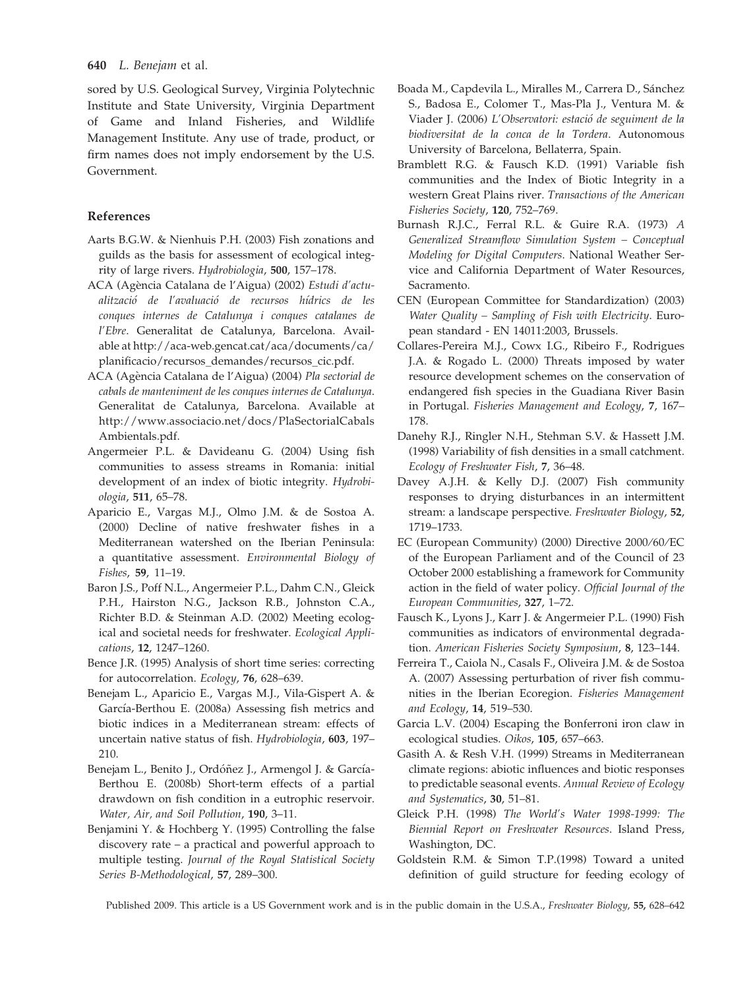sored by U.S. Geological Survey, Virginia Polytechnic Institute and State University, Virginia Department of Game and Inland Fisheries, and Wildlife Management Institute. Any use of trade, product, or firm names does not imply endorsement by the U.S. Government.

# References

- Aarts B.G.W. & Nienhuis P.H. (2003) Fish zonations and guilds as the basis for assessment of ecological integrity of large rivers. Hydrobiologia, 500, 157–178.
- ACA (Agència Catalana de l'Aigua) (2002) Estudi d'actualització de l'avaluació de recursos hídrics de les conques internes de Catalunya i conques catalanes de l'Ebre. Generalitat de Catalunya, Barcelona. Available at http://aca-web.gencat.cat/aca/documents/ca/ planificacio/recursos\_demandes/recursos\_cic.pdf.
- ACA (Agència Catalana de l'Aigua) (2004) Pla sectorial de cabals de manteniment de les conques internes de Catalunya. Generalitat de Catalunya, Barcelona. Available at http://www.associacio.net/docs/PlaSectorialCabals Ambientals.pdf.
- Angermeier P.L. & Davideanu G. (2004) Using fish communities to assess streams in Romania: initial development of an index of biotic integrity. Hydrobiologia, 511, 65–78.
- Aparicio E., Vargas M.J., Olmo J.M. & de Sostoa A. (2000) Decline of native freshwater fishes in a Mediterranean watershed on the Iberian Peninsula: a quantitative assessment. Environmental Biology of Fishes, 59, 11–19.
- Baron J.S., Poff N.L., Angermeier P.L., Dahm C.N., Gleick P.H., Hairston N.G., Jackson R.B., Johnston C.A., Richter B.D. & Steinman A.D. (2002) Meeting ecological and societal needs for freshwater. Ecological Applications, 12, 1247–1260.
- Bence J.R. (1995) Analysis of short time series: correcting for autocorrelation. Ecology, 76, 628–639.
- Benejam L., Aparicio E., Vargas M.J., Vila-Gispert A. & García-Berthou E. (2008a) Assessing fish metrics and biotic indices in a Mediterranean stream: effects of uncertain native status of fish. Hydrobiologia, 603, 197– 210.
- Benejam L., Benito J., Ordóñez J., Armengol J. & García-Berthou E. (2008b) Short-term effects of a partial drawdown on fish condition in a eutrophic reservoir. Water, Air, and Soil Pollution, 190, 3–11.
- Benjamini Y. & Hochberg Y. (1995) Controlling the false discovery rate – a practical and powerful approach to multiple testing. Journal of the Royal Statistical Society Series B-Methodological, 57, 289–300.
- Boada M., Capdevila L., Miralles M., Carrera D., Sánchez S., Badosa E., Colomer T., Mas-Pla J., Ventura M. & Viader J. (2006) L'Observatori: estació de seguiment de la biodiversitat de la conca de la Tordera. Autonomous University of Barcelona, Bellaterra, Spain.
- Bramblett R.G. & Fausch K.D. (1991) Variable fish communities and the Index of Biotic Integrity in a western Great Plains river. Transactions of the American Fisheries Society, 120, 752–769.
- Burnash R.J.C., Ferral R.L. & Guire R.A. (1973) A Generalized Streamflow Simulation System – Conceptual Modeling for Digital Computers. National Weather Service and California Department of Water Resources, Sacramento.
- CEN (European Committee for Standardization) (2003) Water Quality – Sampling of Fish with Electricity. European standard - EN 14011:2003, Brussels.
- Collares-Pereira M.J., Cowx I.G., Ribeiro F., Rodrigues J.A. & Rogado L. (2000) Threats imposed by water resource development schemes on the conservation of endangered fish species in the Guadiana River Basin in Portugal. Fisheries Management and Ecology, 7, 167– 178.
- Danehy R.J., Ringler N.H., Stehman S.V. & Hassett J.M. (1998) Variability of fish densities in a small catchment. Ecology of Freshwater Fish, 7, 36–48.
- Davey A.J.H. & Kelly D.J. (2007) Fish community responses to drying disturbances in an intermittent stream: a landscape perspective. Freshwater Biology, 52, 1719–1733.
- EC (European Community) (2000) Directive 2000/60/EC of the European Parliament and of the Council of 23 October 2000 establishing a framework for Community action in the field of water policy. Official Journal of the European Communities, 327, 1–72.
- Fausch K., Lyons J., Karr J. & Angermeier P.L. (1990) Fish communities as indicators of environmental degradation. American Fisheries Society Symposium, 8, 123–144.
- Ferreira T., Caiola N., Casals F., Oliveira J.M. & de Sostoa A. (2007) Assessing perturbation of river fish communities in the Iberian Ecoregion. Fisheries Management and Ecology, 14, 519–530.
- Garcia L.V. (2004) Escaping the Bonferroni iron claw in ecological studies. Oikos, 105, 657–663.
- Gasith A. & Resh V.H. (1999) Streams in Mediterranean climate regions: abiotic influences and biotic responses to predictable seasonal events. Annual Review of Ecology and Systematics, 30, 51–81.
- Gleick P.H. (1998) The World's Water 1998-1999: The Biennial Report on Freshwater Resources. Island Press, Washington, DC.
- Goldstein R.M. & Simon T.P.(1998) Toward a united definition of guild structure for feeding ecology of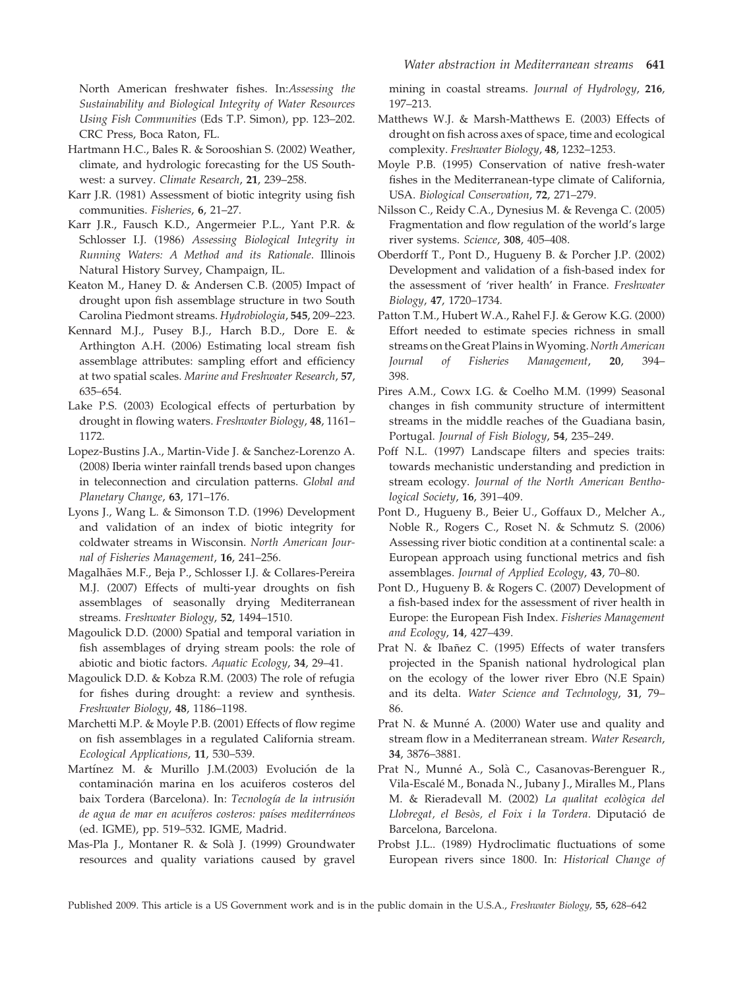- Hartmann H.C., Bales R. & Sorooshian S. (2002) Weather, climate, and hydrologic forecasting for the US Southwest: a survey. Climate Research, 21, 239–258.
- Karr J.R. (1981) Assessment of biotic integrity using fish communities. Fisheries, 6, 21–27.
- Karr J.R., Fausch K.D., Angermeier P.L., Yant P.R. & Schlosser I.J. (1986) Assessing Biological Integrity in Running Waters: A Method and its Rationale. Illinois Natural History Survey, Champaign, IL.
- Keaton M., Haney D. & Andersen C.B. (2005) Impact of drought upon fish assemblage structure in two South Carolina Piedmont streams. Hydrobiologia, 545, 209–223.
- Kennard M.J., Pusey B.J., Harch B.D., Dore E. & Arthington A.H. (2006) Estimating local stream fish assemblage attributes: sampling effort and efficiency at two spatial scales. Marine and Freshwater Research, 57, 635–654.
- Lake P.S. (2003) Ecological effects of perturbation by drought in flowing waters. Freshwater Biology, 48, 1161– 1172.
- Lopez-Bustins J.A., Martin-Vide J. & Sanchez-Lorenzo A. (2008) Iberia winter rainfall trends based upon changes in teleconnection and circulation patterns. Global and Planetary Change, 63, 171–176.
- Lyons J., Wang L. & Simonson T.D. (1996) Development and validation of an index of biotic integrity for coldwater streams in Wisconsin. North American Journal of Fisheries Management, 16, 241–256.
- Magalhães M.F., Beja P., Schlosser I.J. & Collares-Pereira M.J. (2007) Effects of multi-year droughts on fish assemblages of seasonally drying Mediterranean streams. Freshwater Biology, 52, 1494–1510.
- Magoulick D.D. (2000) Spatial and temporal variation in fish assemblages of drying stream pools: the role of abiotic and biotic factors. Aquatic Ecology, 34, 29–41.
- Magoulick D.D. & Kobza R.M. (2003) The role of refugia for fishes during drought: a review and synthesis. Freshwater Biology, 48, 1186–1198.
- Marchetti M.P. & Moyle P.B. (2001) Effects of flow regime on fish assemblages in a regulated California stream. Ecological Applications, 11, 530–539.
- Martínez M. & Murillo J.M.(2003) Evolución de la contaminacio´n marina en los acuiferos costeros del baix Tordera (Barcelona). In: Tecnología de la intrusión de agua de mar en acuíferos costeros: países mediterráneos (ed. IGME), pp. 519–532. IGME, Madrid.
- Mas-Pla J., Montaner R. & Sola` J. (1999) Groundwater resources and quality variations caused by gravel

mining in coastal streams. Journal of Hydrology, 216, 197–213.

- Matthews W.J. & Marsh-Matthews E. (2003) Effects of drought on fish across axes of space, time and ecological complexity. Freshwater Biology, 48, 1232–1253.
- Moyle P.B. (1995) Conservation of native fresh-water fishes in the Mediterranean-type climate of California, USA. Biological Conservation, 72, 271–279.
- Nilsson C., Reidy C.A., Dynesius M. & Revenga C. (2005) Fragmentation and flow regulation of the world's large river systems. Science, 308, 405–408.
- Oberdorff T., Pont D., Hugueny B. & Porcher J.P. (2002) Development and validation of a fish-based index for the assessment of 'river health' in France. Freshwater Biology, 47, 1720–1734.
- Patton T.M., Hubert W.A., Rahel F.J. & Gerow K.G. (2000) Effort needed to estimate species richness in small streams on the Great Plains in Wyoming. North American Journal of Fisheries Management, 20, 394– 398.
- Pires A.M., Cowx I.G. & Coelho M.M. (1999) Seasonal changes in fish community structure of intermittent streams in the middle reaches of the Guadiana basin, Portugal. Journal of Fish Biology, 54, 235–249.
- Poff N.L. (1997) Landscape filters and species traits: towards mechanistic understanding and prediction in stream ecology. Journal of the North American Benthological Society, 16, 391–409.
- Pont D., Hugueny B., Beier U., Goffaux D., Melcher A., Noble R., Rogers C., Roset N. & Schmutz S. (2006) Assessing river biotic condition at a continental scale: a European approach using functional metrics and fish assemblages. Journal of Applied Ecology, 43, 70–80.
- Pont D., Hugueny B. & Rogers C. (2007) Development of a fish-based index for the assessment of river health in Europe: the European Fish Index. Fisheries Management and Ecology, 14, 427–439.
- Prat N. & Ibañez C. (1995) Effects of water transfers projected in the Spanish national hydrological plan on the ecology of the lower river Ebro (N.E Spain) and its delta. Water Science and Technology, 31, 79– 86.
- Prat N. & Munné A. (2000) Water use and quality and stream flow in a Mediterranean stream. Water Research, 34, 3876–3881.
- Prat N., Munné A., Solà C., Casanovas-Berenguer R., Vila-Escalé M., Bonada N., Jubany J., Miralles M., Plans M. & Rieradevall M. (2002) La qualitat ecològica del Llobregat, el Besòs, el Foix i la Tordera. Diputació de Barcelona, Barcelona.
- Probst J.L.. (1989) Hydroclimatic fluctuations of some European rivers since 1800. In: Historical Change of